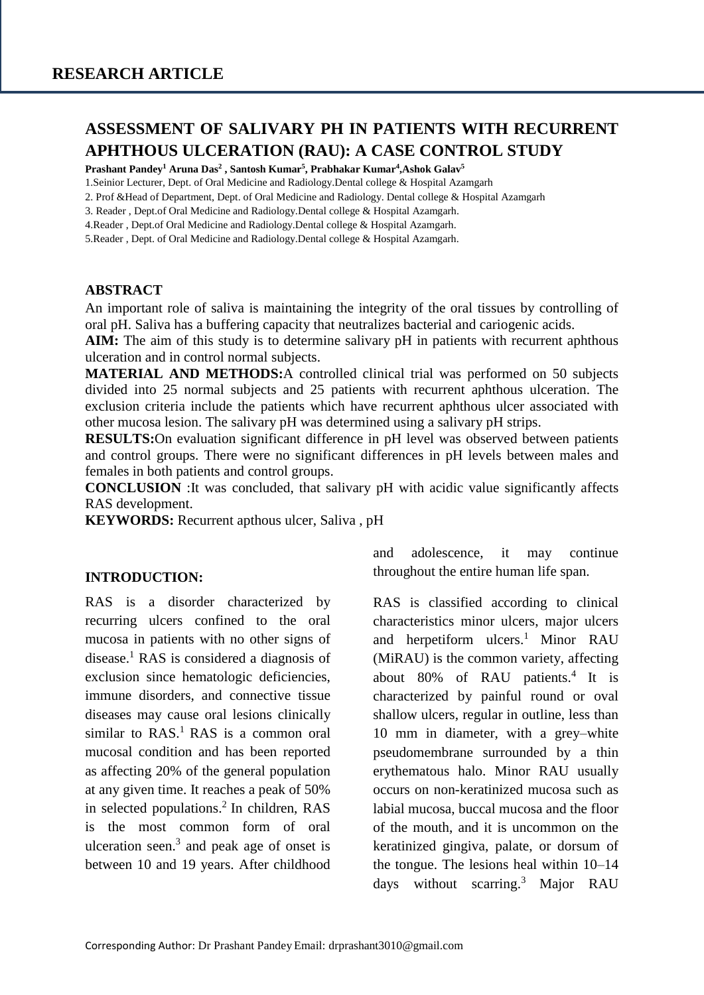# **ASSESSMENT OF SALIVARY PH IN PATIENTS WITH RECURRENT APHTHOUS ULCERATION (RAU): A CASE CONTROL STUDY**

**Prashant Pandey<sup>1</sup> Aruna Das<sup>2</sup> , Santosh Kumar<sup>5</sup> , Prabhakar Kumar<sup>4</sup> ,Ashok Galav<sup>5</sup>**

1.Seinior Lecturer, Dept. of Oral Medicine and Radiology.Dental college & Hospital Azamgarh

2. Prof &Head of Department, Dept. of Oral Medicine and Radiology. Dental college & Hospital Azamgarh

3. Reader , Dept.of Oral Medicine and Radiology.Dental college & Hospital Azamgarh.

4.Reader , Dept.of Oral Medicine and Radiology.Dental college & Hospital Azamgarh.

5.Reader , Dept. of Oral Medicine and Radiology.Dental college & Hospital Azamgarh.

#### **ABSTRACT**

An important role of saliva is maintaining the integrity of the oral tissues by controlling of oral pH. Saliva has a buffering capacity that neutralizes bacterial and cariogenic acids.

**AIM:** The aim of this study is to determine salivary pH in patients with recurrent aphthous ulceration and in control normal subjects.

**MATERIAL AND METHODS:**A controlled clinical trial was performed on 50 subjects divided into 25 normal subjects and 25 patients with recurrent aphthous ulceration. The exclusion criteria include the patients which have recurrent aphthous ulcer associated with other mucosa lesion. The salivary pH was determined using a salivary pH strips.

**RESULTS:**On evaluation significant difference in pH level was observed between patients and control groups. There were no significant differences in pH levels between males and females in both patients and control groups.

**CONCLUSION** :It was concluded, that salivary pH with acidic value significantly affects RAS development.

**KEYWORDS:** Recurrent apthous ulcer, Saliva , pH

#### **INTRODUCTION:**

RAS is a disorder characterized by recurring ulcers confined to the oral mucosa in patients with no other signs of disease.<sup>1</sup> RAS is considered a diagnosis of exclusion since hematologic deficiencies, immune disorders, and connective tissue diseases may cause oral lesions clinically similar to  $RAS<sup>1</sup> RAS$  is a common oral mucosal condition and has been reported as affecting 20% of the general population at any given time. It reaches a peak of 50% in selected populations. 2 In children, RAS is the most common form of oral ulceration seen. 3 and peak age of onset is between 10 and 19 years. After childhood and adolescence, it may continue throughout the entire human life span.

RAS is classified according to clinical characteristics minor ulcers, major ulcers and herpetiform  $ulcers.<sup>1</sup>$  Minor RAU (MiRAU) is the common variety, affecting about 80% of RAU patients.<sup>4</sup> It is characterized by painful round or oval shallow ulcers, regular in outline, less than 10 mm in diameter, with a grey–white pseudomembrane surrounded by a thin erythematous halo. Minor RAU usually occurs on non-keratinized mucosa such as labial mucosa, buccal mucosa and the floor of the mouth, and it is uncommon on the keratinized gingiva, palate, or dorsum of the tongue. The lesions heal within 10–14 days without scarring.<sup>3</sup> Major RAU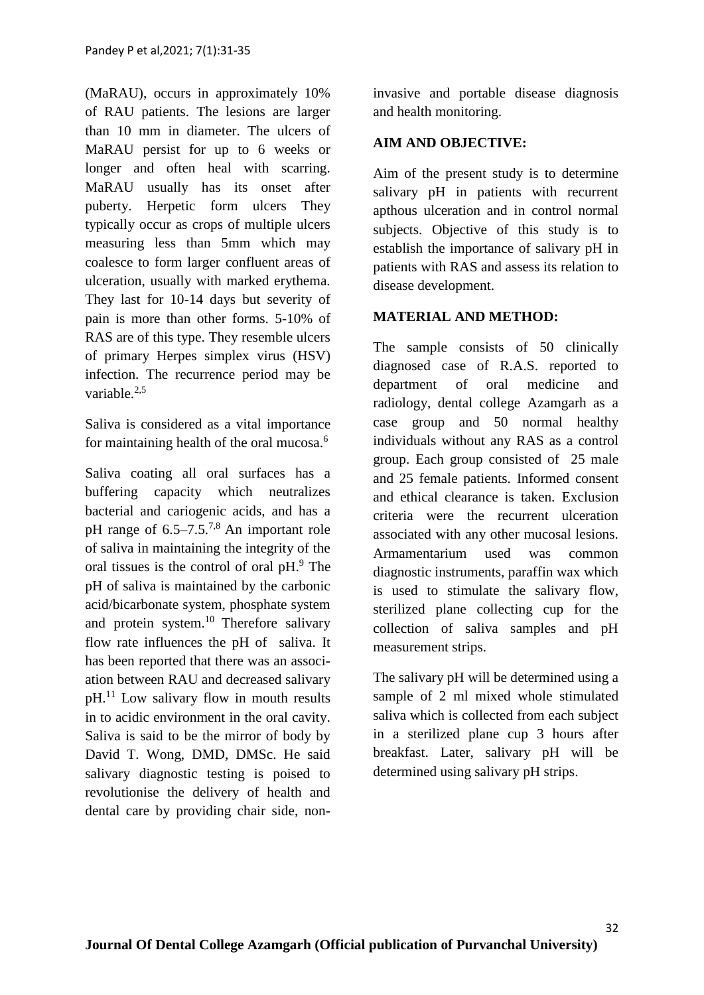(MaRAU), occurs in approximately 10% of RAU patients. The lesions are larger than 10 mm in diameter. The ulcers of MaRAU persist for up to 6 weeks or longer and often heal with scarring. MaRAU usually has its onset after puberty. Herpetic form ulcers They typically occur as crops of multiple ulcers measuring less than 5mm which may coalesce to form larger confluent areas of ulceration, usually with marked erythema. They last for 10-14 days but severity of pain is more than other forms. 5-10% of RAS are of this type. They resemble ulcers of primary Herpes simplex virus (HSV) infection. The recurrence period may be variable  $^{2,5}$ 

Saliva is considered as a vital importance for maintaining health of the oral mucosa.<sup>6</sup>

Saliva coating all oral surfaces has a buffering capacity which neutralizes bacterial and cariogenic acids, and has a pH range of  $6.5-7.5^{7.8}$  An important role of saliva in maintaining the integrity of the oral tissues is the control of oral pH.<sup>9</sup> The pH of saliva is maintained by the carbonic acid/bicarbonate system, phosphate system and protein system. $10$  Therefore salivary flow rate influences the pH of saliva. It has been reported that there was an association between RAU and decreased salivary pH.<sup>11</sup> Low salivary flow in mouth results in to acidic environment in the oral cavity. Saliva is said to be the mirror of body by David T. Wong, DMD, DMSc. He said salivary diagnostic testing is poised to revolutionise the delivery of health and dental care by providing chair side, noninvasive and portable disease diagnosis and health monitoring.

# **AIM AND OBJECTIVE:**

Aim of the present study is to determine salivary pH in patients with recurrent apthous ulceration and in control normal subjects. Objective of this study is to establish the importance of salivary pH in patients with RAS and assess its relation to disease development.

## **MATERIAL AND METHOD:**

The sample consists of 50 clinically diagnosed case of R.A.S. reported to department of oral medicine and radiology, dental college Azamgarh as a case group and 50 normal healthy individuals without any RAS as a control group. Each group consisted of 25 male and 25 female patients. Informed consent and ethical clearance is taken. Exclusion criteria were the recurrent ulceration associated with any other mucosal lesions. Armamentarium used was common diagnostic instruments, paraffin wax which is used to stimulate the salivary flow, sterilized plane collecting cup for the collection of saliva samples and pH measurement strips.

The salivary pH will be determined using a sample of 2 ml mixed whole stimulated saliva which is collected from each subject in a sterilized plane cup 3 hours after breakfast. Later, salivary pH will be determined using salivary pH strips.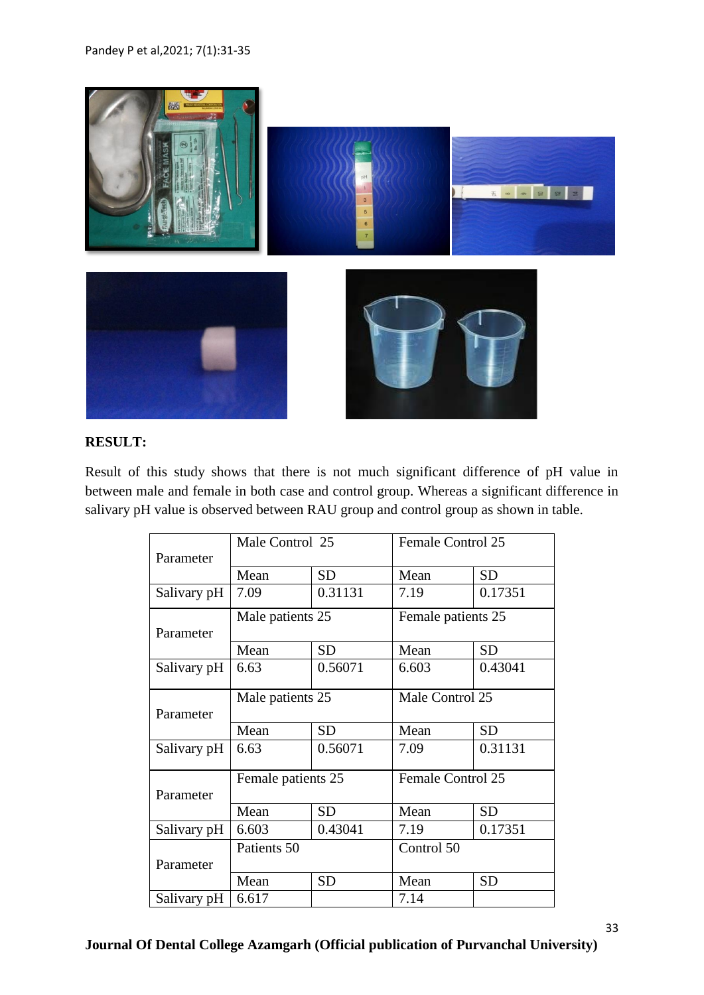

# **RESULT:**

Result of this study shows that there is not much significant difference of pH value in between male and female in both case and control group. Whereas a significant difference in salivary pH value is observed between RAU group and control group as shown in table.

|             | Male Control 25    |           | <b>Female Control 25</b> |           |
|-------------|--------------------|-----------|--------------------------|-----------|
| Parameter   |                    |           |                          |           |
|             | Mean               | <b>SD</b> | Mean                     | <b>SD</b> |
| Salivary pH | 7.09               | 0.31131   | 7.19                     | 0.17351   |
|             | Male patients 25   |           | Female patients 25       |           |
| Parameter   |                    |           |                          |           |
|             | Mean               | <b>SD</b> | Mean                     | <b>SD</b> |
| Salivary pH | 6.63               | 0.56071   | 6.603                    | 0.43041   |
|             | Male patients 25   |           | Male Control 25          |           |
| Parameter   |                    |           |                          |           |
|             | Mean               | <b>SD</b> | Mean                     | <b>SD</b> |
| Salivary pH | 6.63               | 0.56071   | 7.09                     | 0.31131   |
|             | Female patients 25 |           | Female Control 25        |           |
| Parameter   |                    |           |                          |           |
|             | Mean               | <b>SD</b> | Mean                     | <b>SD</b> |
| Salivary pH | 6.603              | 0.43041   | 7.19                     | 0.17351   |
|             | Patients 50        |           | Control 50               |           |
| Parameter   |                    |           |                          |           |
|             | Mean               | <b>SD</b> | Mean                     | <b>SD</b> |
| Salivary pH | 6.617              |           | 7.14                     |           |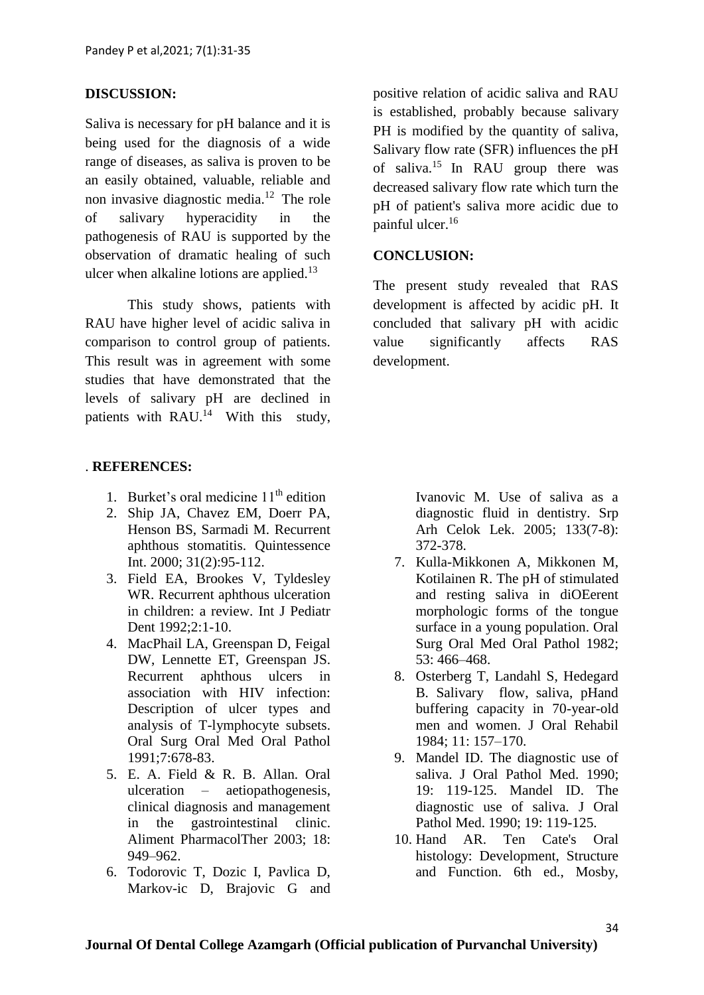## **DISCUSSION:**

Saliva is necessary for pH balance and it is being used for the diagnosis of a wide range of diseases, as saliva is proven to be an easily obtained, valuable, reliable and non invasive diagnostic media. $12$  The role of salivary hyperacidity in the pathogenesis of RAU is supported by the observation of dramatic healing of such ulcer when alkaline lotions are applied. $13$ 

This study shows, patients with RAU have higher level of acidic saliva in comparison to control group of patients. This result was in agreement with some studies that have demonstrated that the levels of salivary pH are declined in patients with RAU. $^{14}$  With this study,

#### . **REFERENCES:**

- 1. Burket's oral medicine  $11<sup>th</sup>$  edition
- 2. Ship JA, Chavez EM, Doerr PA, Henson BS, Sarmadi M. Recurrent aphthous stomatitis. Quintessence Int. 2000; 31(2):95-112.
- 3. Field EA, Brookes V, Tyldesley WR. Recurrent aphthous ulceration in children: a review. Int J Pediatr Dent 1992:2:1-10.
- 4. MacPhail LA, Greenspan D, Feigal DW, Lennette ET, Greenspan JS. Recurrent aphthous ulcers in association with HIV infection: Description of ulcer types and analysis of T-lymphocyte subsets. Oral Surg Oral Med Oral Pathol 1991;7:678-83.
- 5. E. A. Field & R. B. Allan. Oral ulceration – aetiopathogenesis, clinical diagnosis and management in the gastrointestinal clinic. Aliment PharmacolTher 2003; 18: 949–962.
- 6. Todorovic T, Dozic I, Pavlica D, Markov-ic D, Brajovic G and

positive relation of acidic saliva and RAU is established, probably because salivary PH is modified by the quantity of saliva, Salivary flow rate (SFR) influences the pH of saliva.<sup>15</sup> In RAU group there was decreased salivary flow rate which turn the pH of patient's saliva more acidic due to painful ulcer.<sup>16</sup>

#### **CONCLUSION:**

The present study revealed that RAS development is affected by acidic pH. It concluded that salivary pH with acidic value significantly affects RAS development.

> Ivanovic M. Use of saliva as a diagnostic fluid in dentistry. Srp Arh Celok Lek. 2005; 133(7-8): 372-378.

- 7. Kulla-Mikkonen A, Mikkonen M, Kotilainen R. The pH of stimulated and resting saliva in diOEerent morphologic forms of the tongue surface in a young population. Oral Surg Oral Med Oral Pathol 1982; 53: 466–468.
- 8. Osterberg T, Landahl S, Hedegard B. Salivary flow, saliva, pHand buffering capacity in 70-year-old men and women. J Oral Rehabil 1984; 11: 157–170.
- 9. Mandel ID. The diagnostic use of saliva. J Oral Pathol Med. 1990; 19: 119-125. Mandel ID. The diagnostic use of saliva. J Oral Pathol Med. 1990; 19: 119-125.
- 10. Hand AR. Ten Cate's Oral histology: Development, Structure and Function. 6th ed., Mosby,